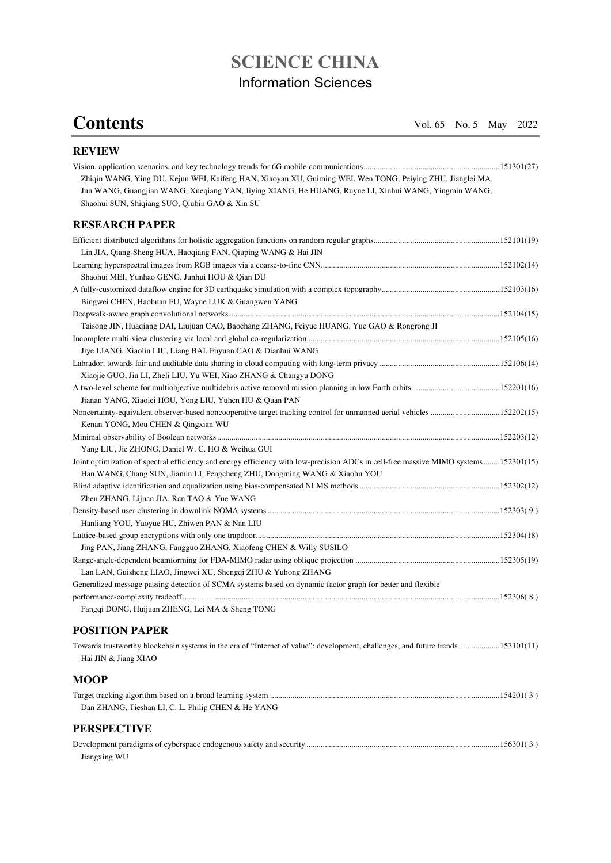## **SCIENCE CHINA**  Information Sciences

## **Contents** Vol. 65 No. 5 May 2022

Jiangxing WU

| <b>REVIEW</b>                                                                                                                                               |  |
|-------------------------------------------------------------------------------------------------------------------------------------------------------------|--|
|                                                                                                                                                             |  |
| Zhiqin WANG, Ying DU, Kejun WEI, Kaifeng HAN, Xiaoyan XU, Guiming WEI, Wen TONG, Peiying ZHU, Jianglei MA,                                                  |  |
| Jun WANG, Guangjian WANG, Xueqiang YAN, Jiying XIANG, He HUANG, Ruyue LI, Xinhui WANG, Yingmin WANG,                                                        |  |
| Shaohui SUN, Shiqiang SUO, Qiubin GAO & Xin SU                                                                                                              |  |
| <b>RESEARCH PAPER</b>                                                                                                                                       |  |
|                                                                                                                                                             |  |
| Lin JIA, Qiang-Sheng HUA, Haoqiang FAN, Qiuping WANG & Hai JIN                                                                                              |  |
|                                                                                                                                                             |  |
| Shaohui MEI, Yunhao GENG, Junhui HOU & Qian DU                                                                                                              |  |
|                                                                                                                                                             |  |
| Bingwei CHEN, Haohuan FU, Wayne LUK & Guangwen YANG                                                                                                         |  |
|                                                                                                                                                             |  |
| Taisong JIN, Huaqiang DAI, Liujuan CAO, Baochang ZHANG, Feiyue HUANG, Yue GAO & Rongrong JI                                                                 |  |
|                                                                                                                                                             |  |
| Jiye LIANG, Xiaolin LIU, Liang BAI, Fuyuan CAO & Dianhui WANG                                                                                               |  |
|                                                                                                                                                             |  |
| Xiaojie GUO, Jin LI, Zheli LIU, Yu WEI, Xiao ZHANG & Changyu DONG                                                                                           |  |
|                                                                                                                                                             |  |
| Jianan YANG, Xiaolei HOU, Yong LIU, Yuhen HU & Quan PAN                                                                                                     |  |
| Noncertainty-equivalent observer-based noncooperative target tracking control for unmanned aerial vehicles 152202(15)<br>Kenan YONG, Mou CHEN & Qingxian WU |  |
|                                                                                                                                                             |  |
| Yang LIU, Jie ZHONG, Daniel W. C. HO & Weihua GUI                                                                                                           |  |
| Joint optimization of spectral efficiency and energy efficiency with low-precision ADCs in cell-free massive MIMO systems152301(15)                         |  |
| Han WANG, Chang SUN, Jiamin LI, Pengcheng ZHU, Dongming WANG & Xiaohu YOU                                                                                   |  |
|                                                                                                                                                             |  |
| Zhen ZHANG, Lijuan JIA, Ran TAO & Yue WANG                                                                                                                  |  |
|                                                                                                                                                             |  |
| Hanliang YOU, Yaoyue HU, Zhiwen PAN & Nan LIU                                                                                                               |  |
|                                                                                                                                                             |  |
| Jing PAN, Jiang ZHANG, Fangguo ZHANG, Xiaofeng CHEN & Willy SUSILO                                                                                          |  |
|                                                                                                                                                             |  |
| Lan LAN, Guisheng LIAO, Jingwei XU, Shengqi ZHU & Yuhong ZHANG                                                                                              |  |
| Generalized message passing detection of SCMA systems based on dynamic factor graph for better and flexible                                                 |  |
|                                                                                                                                                             |  |
| Fangqi DONG, Huijuan ZHENG, Lei MA & Sheng TONG                                                                                                             |  |
| <b>POSITION PAPER</b>                                                                                                                                       |  |
| Towards trustworthy blockchain systems in the era of "Internet of value": development, challenges, and future trends153101(11)<br>Hai JIN & Jiang XIAO      |  |
| <b>MOOP</b>                                                                                                                                                 |  |
|                                                                                                                                                             |  |
| Dan ZHANG, Tieshan LI, C. L. Philip CHEN & He YANG                                                                                                          |  |
| <b>PERSPECTIVE</b>                                                                                                                                          |  |
|                                                                                                                                                             |  |